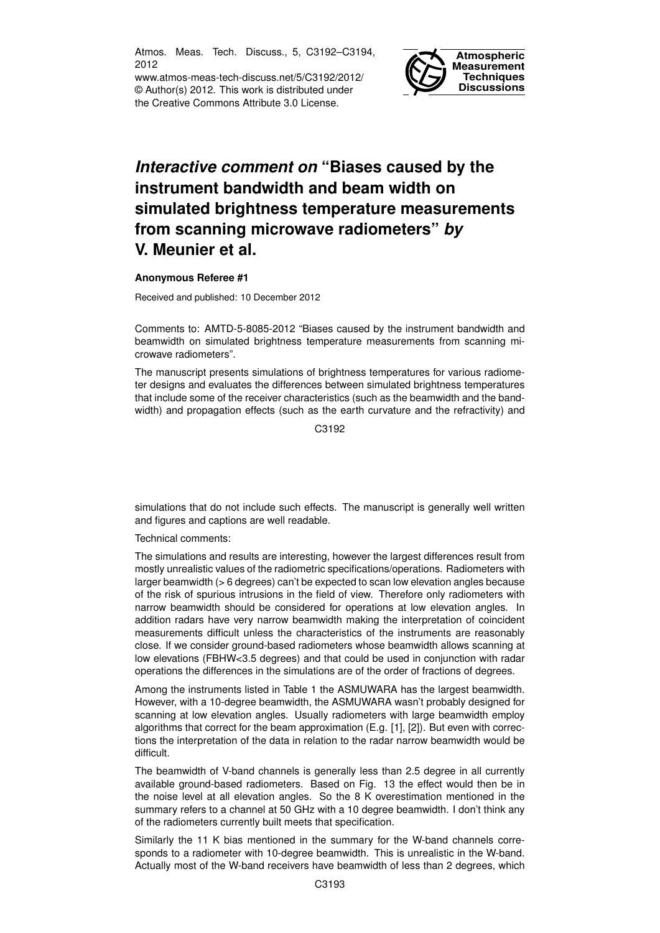Atmos. Meas. Tech. Discuss., 5, C3192–C3194, 2012

www.atmos-meas-tech-discuss.net/5/C3192/2012/ © Author(s) 2012. This work is distributed under the Creative Commons Attribute 3.0 License.



## *Interactive comment on* **"Biases caused by the instrument bandwidth and beam width on simulated brightness temperature measurements from scanning microwave radiometers"** *by* **V. Meunier et al.**

## **Anonymous Referee #1**

Received and published: 10 December 2012

Comments to: AMTD-5-8085-2012 "Biases caused by the instrument bandwidth and beamwidth on simulated brightness temperature measurements from scanning microwave radiometers".

The manuscript presents simulations of brightness temperatures for various radiometer designs and evaluates the differences between simulated brightness temperatures that include some of the receiver characteristics (such as the beamwidth and the bandwidth) and propagation effects (such as the earth curvature and the refractivity) and

C3192

simulations that do not include such effects. The manuscript is generally well written and figures and captions are well readable.

Technical comments:

The simulations and results are interesting, however the largest differences result from mostly unrealistic values of the radiometric specifications/operations. Radiometers with larger beamwidth (> 6 degrees) can't be expected to scan low elevation angles because of the risk of spurious intrusions in the field of view. Therefore only radiometers with narrow beamwidth should be considered for operations at low elevation angles. In addition radars have very narrow beamwidth making the interpretation of coincident measurements difficult unless the characteristics of the instruments are reasonably close. If we consider ground-based radiometers whose beamwidth allows scanning at low elevations (FBHW<3.5 degrees) and that could be used in conjunction with radar operations the differences in the simulations are of the order of fractions of degrees.

Among the instruments listed in Table 1 the ASMUWARA has the largest beamwidth. However, with a 10-degree beamwidth, the ASMUWARA wasn't probably designed for scanning at low elevation angles. Usually radiometers with large beamwidth employ algorithms that correct for the beam approximation (E.g. [1], [2]). But even with corrections the interpretation of the data in relation to the radar narrow beamwidth would be difficult.

The beamwidth of V-band channels is generally less than 2.5 degree in all currently available ground-based radiometers. Based on Fig. 13 the effect would then be in the noise level at all elevation angles. So the 8 K overestimation mentioned in the summary refers to a channel at 50 GHz with a 10 degree beamwidth. I don't think any of the radiometers currently built meets that specification.

Similarly the 11 K bias mentioned in the summary for the W-band channels corresponds to a radiometer with 10-degree beamwidth. This is unrealistic in the W-band. Actually most of the W-band receivers have beamwidth of less than 2 degrees, which